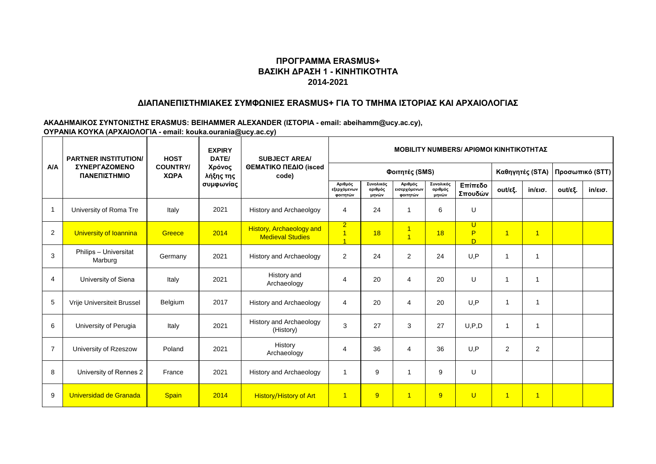### **ΔΙΑΠΑΝΕΠΙΣΤΗΜΙΑΚΕΣ ΣΥΜΦΩΝΙΕΣ ERASMUS+ ΓΙΑ ΤΟ ΤΜΗΜΑ ΙΣΤΟΡΙΑΣ ΚΑΙ ΑΡΧΑΙΟΛΟΓΙΑΣ**

|                | <b>HOST</b><br><b>PARTNER INSTITUTION/</b> |                         | <b>EXPIRY</b><br>DATE/           | <b>SUBJECT AREA/</b>                                       | <b>ΜΟΒΙLITY NUMBERS/ ΑΡΙΘΜΟΙ ΚΙΝΗΤΙΚΟΤΗΤΑΣ</b>     |                               |                                     |                               |                    |                      |                   |                 |                   |  |
|----------------|--------------------------------------------|-------------------------|----------------------------------|------------------------------------------------------------|----------------------------------------------------|-------------------------------|-------------------------------------|-------------------------------|--------------------|----------------------|-------------------|-----------------|-------------------|--|
| A/A            | ΣΥΝΕΡΓΑΖΟΜΕΝΟ<br>ΠΑΝΕΠΙΣΤΗΜΙΟ              | <b>COUNTRY/</b><br>ΧΩΡΑ | Χρόνος<br>λήξης της<br>συμφωνίας | ΘΕΜΑΤΙΚΟ ΠΕΔΙΟ (isced<br>code)                             |                                                    |                               | Φοιτητές (SMS)                      |                               |                    |                      | Καθηγητές (STA)   | Προσωπικό (STT) |                   |  |
|                |                                            |                         |                                  |                                                            | Αριθμός<br>εξερχόμενων<br>φοιτητών                 | Συνολικός<br>αριθμός<br>μηνών | Αριθμός<br>εισερχόμενων<br>φοιτητών | Συνολικός<br>αριθμός<br>μηνών | Επίπεδο<br>Σπουδών | out/εξ.              | $in/\epsilon$ ισ. | out/εξ.         | $in/\epsilon$ ισ. |  |
| $\mathbf{1}$   | University of Roma Tre                     | Italy                   | 2021                             | History and Archaeolgoy                                    | $\overline{4}$                                     | 24                            |                                     | 6                             | U                  |                      |                   |                 |                   |  |
| 2              | University of Ioannina                     | Greece                  | 2014                             | <b>History, Archaeology and</b><br><b>Medieval Studies</b> | $\overline{2}$<br>$\overline{1}$<br>$\overline{4}$ | 18                            | 1<br>$\overline{\mathbf{1}}$        | 18                            | U<br>P,<br>D       | $\blacktriangleleft$ | $\overline{1}$    |                 |                   |  |
| 3              | Philips - Universitat<br>Marburg           | Germany                 | 2021                             | History and Archaeology                                    | $\overline{2}$                                     | 24                            | $\overline{2}$                      | 24                            | U, P               | 1                    | 1                 |                 |                   |  |
| 4              | University of Siena                        | Italy                   | 2021                             | History and<br>Archaeology                                 | $\overline{4}$                                     | 20                            | 4                                   | 20                            | U                  | -1                   | 1                 |                 |                   |  |
| $\sqrt{5}$     | Vrije Universiteit Brussel                 | Belgium                 | 2017                             | History and Archaeology                                    | $\overline{4}$                                     | 20                            | 4                                   | 20                            | U, P               | $\mathbf 1$          | -1                |                 |                   |  |
| 6              | University of Perugia                      | Italy                   | 2021                             | <b>History and Archaeology</b><br>(History)                | 3                                                  | 27                            | 3                                   | 27                            | U, P, D            | 1                    | -1                |                 |                   |  |
| $\overline{7}$ | University of Rzeszow                      | Poland                  | 2021                             | History<br>Archaeology                                     | $\overline{4}$                                     | 36                            | 4                                   | 36                            | U, P               | $\overline{2}$       | $\overline{2}$    |                 |                   |  |
| 8              | University of Rennes 2                     | France                  | 2021                             | History and Archaeology                                    | $\overline{1}$                                     | 9                             | 1                                   | 9                             | U                  |                      |                   |                 |                   |  |
| 9              | Universidad de Granada                     | <b>Spain</b>            | 2014                             | <b>History/History of Art</b>                              | $\overline{1}$                                     | 9                             | $\overline{1}$                      | 9                             | $\overline{U}$     | $\overline{1}$       | $\overline{1}$    |                 |                   |  |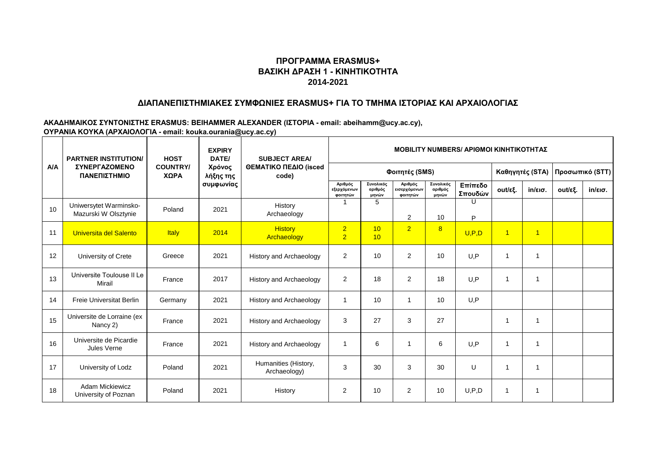### **ΔΙΑΠΑΝΕΠΙΣΤΗΜΙΑΚΕΣ ΣΥΜΦΩΝΙΕΣ ERASMUS+ ΓΙΑ ΤΟ ΤΜΗΜΑ ΙΣΤΟΡΙΑΣ ΚΑΙ ΑΡΧΑΙΟΛΟΓΙΑΣ**

|     | <b>HOST</b><br><b>PARTNER INSTITUTION/</b>     |                         | <b>EXPIRY</b><br>DATE/           | <b>SUBJECT AREA/</b>                 | MOBILITY NUMBERS/ APIOMOI ΚΙΝΗΤΙΚΟΤΗΤΑΣ |                               |                                     |                               |                    |                 |                   |                 |                   |  |
|-----|------------------------------------------------|-------------------------|----------------------------------|--------------------------------------|-----------------------------------------|-------------------------------|-------------------------------------|-------------------------------|--------------------|-----------------|-------------------|-----------------|-------------------|--|
| A/A | ΣΥΝΕΡΓΑΖΟΜΕΝΟ<br>ΠΑΝΕΠΙΣΤΗΜΙΟ                  | <b>COUNTRY/</b><br>ΧΩΡΑ | Χρόνος<br>λήξης της<br>συμφωνίας | ΘΕΜΑΤΙΚΟ ΠΕΔΙΟ (isced<br>code)       |                                         |                               | Φοιτητές (SMS)                      |                               |                    | Καθηγητές (STA) |                   | Προσωπικό (STT) |                   |  |
|     |                                                |                         |                                  |                                      | Αριθμός<br>εξερχόμενων<br>φοιτητών      | Συνολικός<br>αριθμός<br>μηνών | Αριθμός<br>εισερχόμενων<br>φοιτητών | Συνολικός<br>αριθμός<br>μηνών | Επίπεδο<br>Σπουδών | out/εξ.         | $in/\epsilon$ ισ. | out/εξ.         | $in/\epsilon$ ισ. |  |
| 10  | Uniwersytet Warminsko-<br>Mazurski W Olsztynie | Poland                  | 2021                             | History<br>Archaeology               |                                         | 5                             | 2                                   | 10                            | U<br>P             |                 |                   |                 |                   |  |
| 11  | Universita del Salento                         | <b>Italy</b>            | 2014                             | <b>History</b><br>Archaeology        | $\overline{2}$<br>$\overline{2}$        | 10<br>10                      | $\overline{2}$                      | 8                             | U, P, D            | $\overline{1}$  | $\overline{1}$    |                 |                   |  |
| 12  | University of Crete                            | Greece                  | 2021                             | History and Archaeology              | 2                                       | 10                            | 2                                   | 10                            | U, P               |                 |                   |                 |                   |  |
| 13  | Universite Toulouse II Le<br>Mirail            | France                  | 2017                             | History and Archaeology              | 2                                       | 18                            | 2                                   | 18                            | U, P               | 1               | -1                |                 |                   |  |
| 14  | <b>Freie Universitat Berlin</b>                | Germany                 | 2021                             | History and Archaeology              | $\overline{1}$                          | 10                            | 1                                   | 10                            | U, P               |                 |                   |                 |                   |  |
| 15  | Universite de Lorraine (ex<br>Nancy 2)         | France                  | 2021                             | History and Archaeology              | 3                                       | 27                            | 3                                   | 27                            |                    |                 |                   |                 |                   |  |
| 16  | Universite de Picardie<br>Jules Verne          | France                  | 2021                             | History and Archaeology              | -1                                      | 6                             | 1                                   | 6                             | U, P               | 1               | -1                |                 |                   |  |
| 17  | University of Lodz                             | Poland                  | 2021                             | Humanities (History,<br>Archaeology) | 3                                       | 30                            | 3                                   | 30                            | U                  |                 |                   |                 |                   |  |
| 18  | <b>Adam Mickiewicz</b><br>University of Poznan | Poland                  | 2021                             | History                              | $\overline{2}$                          | 10                            | $\overline{2}$                      | 10                            | U, P, D            |                 | 1                 |                 |                   |  |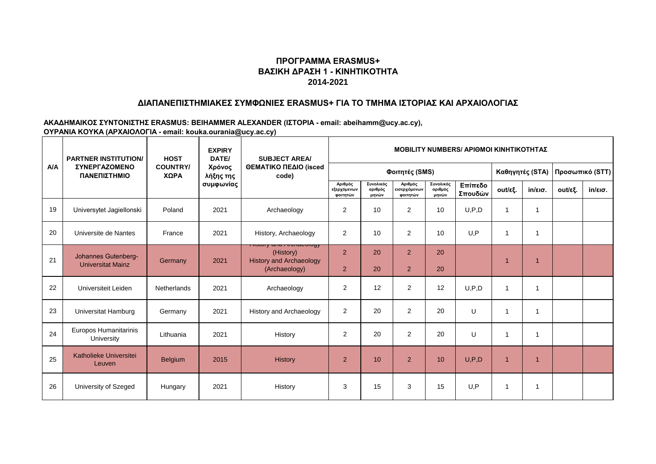### **ΔΙΑΠΑΝΕΠΙΣΤΗΜΙΑΚΕΣ ΣΥΜΦΩΝΙΕΣ ERASMUS+ ΓΙΑ ΤΟ ΤΜΗΜΑ ΙΣΤΟΡΙΑΣ ΚΑΙ ΑΡΧΑΙΟΛΟΓΙΑΣ**

|     | <b>HOST</b><br><b>PARTNER INSTITUTION/</b>      |                         | <b>EXPIRY</b><br>DATE/           | <b>SUBJECT AREA/</b>                                                                     | <b>MOBILITY NUMBERS/ APIOMOI KINHTIKOTHTAZ</b> |                               |                                     |                               |                    |                      |                   |         |         |  |
|-----|-------------------------------------------------|-------------------------|----------------------------------|------------------------------------------------------------------------------------------|------------------------------------------------|-------------------------------|-------------------------------------|-------------------------------|--------------------|----------------------|-------------------|---------|---------|--|
| A/A | ΣΥΝΕΡΓΑΖΟΜΕΝΟ<br>ΠΑΝΕΠΙΣΤΗΜΙΟ                   | <b>COUNTRY/</b><br>ΧΩΡΑ | Χρόνος<br>λήξης της<br>συμφωνίας | ΘΕΜΑΤΙΚΟ ΠΕΔΙΟ (isced<br>code)                                                           |                                                |                               | Καθηγητές (STA)                     |                               | Προσωπικό (STT)    |                      |                   |         |         |  |
|     |                                                 |                         |                                  |                                                                                          | Αριθμός<br>εξερχόμενων<br>φοιτητών             | Συνολικός<br>αριθμός<br>μηνών | Αριθμός<br>εισερχόμενων<br>φοιτητών | Συνολικός<br>αριθμός<br>μηνών | Επίπεδο<br>Σπουδών | out/εξ.              | $in/\epsilon$ ισ. | out/εξ. | in/εισ. |  |
| 19  | Universytet Jagiellonski                        | Poland                  | 2021                             | Archaeology                                                                              | 2                                              | 10                            | $\overline{2}$                      | 10                            | U, P, D            |                      | 1                 |         |         |  |
| 20  | Universite de Nantes                            | France                  | 2021                             | History, Archaeology                                                                     | 2                                              | 10                            | $\overline{2}$                      | 10                            | U,P                |                      | $\overline{1}$    |         |         |  |
| 21  | Johannes Gutenberg-<br><b>Universitat Mainz</b> | Germany                 | 2021                             | ι ποιντγ απα Ατσπασυιναγ<br>(History)<br><b>History and Archaeology</b><br>(Archaeology) | 2<br>$\overline{2}$                            | 20<br>20                      | $\overline{2}$<br>$\overline{2}$    | 20<br>20                      |                    |                      | -1                |         |         |  |
| 22  | Universiteit Leiden                             | Netherlands             | 2021                             | Archaeology                                                                              | $\overline{2}$                                 | 12                            | 2                                   | 12                            | U.P.D              |                      | 1                 |         |         |  |
| 23  | Universitat Hamburg                             | Germany                 | 2021                             | <b>History and Archaeology</b>                                                           | $\overline{2}$                                 | 20                            | $\overline{2}$                      | 20                            | U                  |                      | 1                 |         |         |  |
| 24  | Europos Humanitarinis<br>University             | Lithuania               | 2021                             | History                                                                                  | $\overline{2}$                                 | 20                            | 2                                   | 20                            | U                  |                      | $\overline{1}$    |         |         |  |
| 25  | Katholieke Universitei<br>Leuven                | <b>Belgium</b>          | 2015                             | <b>History</b>                                                                           | $\overline{2}$                                 | 10                            | 2                                   | 10                            | U, P, D            | $\blacktriangleleft$ | $\overline{1}$    |         |         |  |
| 26  | University of Szeged                            | Hungary                 | 2021                             | History                                                                                  | 3                                              | 15                            | 3                                   | 15                            | U, P               |                      | 1                 |         |         |  |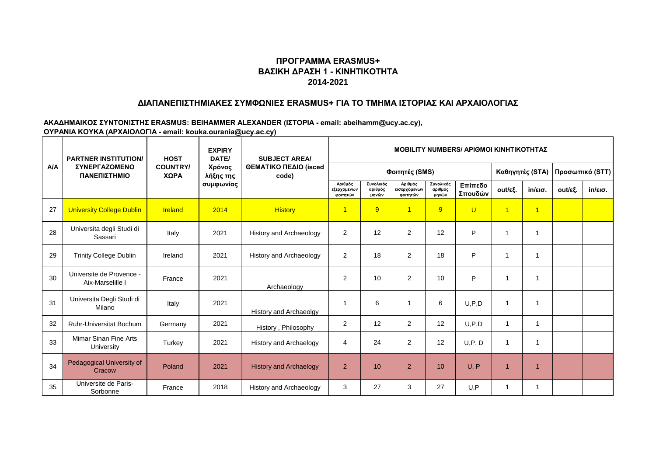### **ΔΙΑΠΑΝΕΠΙΣΤΗΜΙΑΚΕΣ ΣΥΜΦΩΝΙΕΣ ERASMUS+ ΓΙΑ ΤΟ ΤΜΗΜΑ ΙΣΤΟΡΙΑΣ ΚΑΙ ΑΡΧΑΙΟΛΟΓΙΑΣ**

|     | <b>HOST</b><br><b>PARTNER INSTITUTION/</b>   |                         | <b>EXPIRY</b><br>DATE/           | <b>SUBJECT AREA/</b>           | <b>ΜΟΒΙLITY NUMBERS/ ΑΡΙΘΜΟΙ ΚΙΝΗΤΙΚΟΤΗΤΑΣ</b> |                               |                                     |                               |                    |                |                   |                 |         |  |
|-----|----------------------------------------------|-------------------------|----------------------------------|--------------------------------|------------------------------------------------|-------------------------------|-------------------------------------|-------------------------------|--------------------|----------------|-------------------|-----------------|---------|--|
| A/A | <b>ΣΥΝΕΡΓΑΖΟΜΕΝΟ</b><br>ΠΑΝΕΠΙΣΤΗΜΙΟ         | <b>COUNTRY/</b><br>ΧΩΡΑ | Χρόνος<br>λήξης της<br>συμφωνίας | ΘΕΜΑΤΙΚΟ ΠΕΔΙΟ (isced<br>code) |                                                |                               | Φοιτητές (SMS)                      |                               |                    |                | Καθηγητές (STA)   | Προσωπικό (STT) |         |  |
|     |                                              |                         |                                  |                                | Αριθμός<br>εξερχόμενων<br>φοιτητών             | Συνολικός<br>αριθμός<br>μηνών | Αριθμός<br>εισερχόμενων<br>φοιτητών | Συνολικός<br>αριθμός<br>μηνών | Επίπεδο<br>Σπουδών | out/εξ.        | $in/\epsilon$ ισ. | out/εξ.         | in/εισ. |  |
| 27  | <b>University College Dublin</b>             | Ireland                 | 2014                             | <b>History</b>                 | $\overline{1}$                                 | 9                             | $\overline{1}$                      | 9                             | $\overline{U}$     | $\overline{1}$ | $\overline{1}$    |                 |         |  |
| 28  | Universita degli Studi di<br>Sassari         | Italy                   | 2021                             | <b>History and Archaeology</b> | 2                                              | 12                            | 2                                   | 12                            | P                  |                | 1                 |                 |         |  |
| 29  | <b>Trinity College Dublin</b>                | Ireland                 | 2021                             | <b>History and Archaeology</b> | 2                                              | 18                            | $\overline{2}$                      | 18                            | P                  | -1             | 1                 |                 |         |  |
| 30  | Universite de Provence -<br>Aix-Marselille I | France                  | 2021                             | Archaeology                    | $\overline{2}$                                 | 10                            | 2                                   | 10                            | P                  |                |                   |                 |         |  |
| 31  | Universita Degli Studi di<br>Milano          | Italy                   | 2021                             | History and Archaeolgy         | -1                                             | 6                             | 1                                   | 6                             | U, P, D            | $\mathbf{1}$   | -1                |                 |         |  |
| 32  | Ruhr-Universitat Bochum                      | Germany                 | 2021                             | History, Philosophy            | 2                                              | 12                            | $\overline{2}$                      | 12                            | U, P, D            | $\mathbf{1}$   | 1                 |                 |         |  |
| 33  | Mimar Sinan Fine Arts<br>University          | Turkey                  | 2021                             | History and Archaelogy         | 4                                              | 24                            | $\overline{2}$                      | 12                            | U, P, D            | 1              | ٠                 |                 |         |  |
| 34  | Pedagogical University of<br>Cracow          | Poland                  | 2021                             | <b>History and Archaelogy</b>  | 2                                              | 10                            | $\overline{2}$                      | 10 <sup>10</sup>              | U, P               | 1              | $\overline{1}$    |                 |         |  |
| 35  | Universite de Paris-<br>Sorbonne             | France                  | 2018                             | History and Archaeology        | 3                                              | 27                            | 3                                   | 27                            | U.P                |                |                   |                 |         |  |